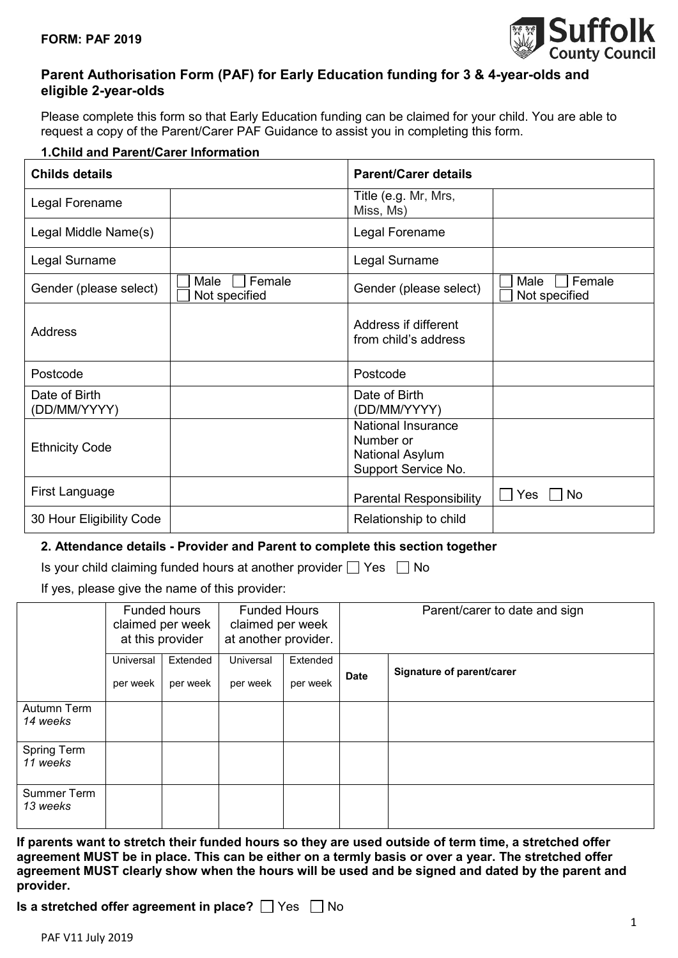

## **Parent Authorisation Form (PAF) for Early Education funding for 3 & 4-year-olds and eligible 2-year-olds**

Please complete this form so that Early Education funding can be claimed for your child. You are able to request a copy of the Parent/Carer PAF Guidance to assist you in completing this form.

### **1.Child and Parent/Carer Information**

| <b>Childs details</b>         |                                 | <b>Parent/Carer details</b>                                               |                                 |
|-------------------------------|---------------------------------|---------------------------------------------------------------------------|---------------------------------|
| Legal Forename                |                                 | Title (e.g. Mr, Mrs,<br>Miss, Ms)                                         |                                 |
| Legal Middle Name(s)          |                                 | Legal Forename                                                            |                                 |
| Legal Surname                 |                                 | Legal Surname                                                             |                                 |
| Gender (please select)        | Female<br>Male<br>Not specified | Gender (please select)                                                    | Female<br>Male<br>Not specified |
| Address                       |                                 | Address if different<br>from child's address                              |                                 |
| Postcode                      |                                 | Postcode                                                                  |                                 |
| Date of Birth<br>(DD/MM/YYYY) |                                 | Date of Birth<br>(DD/MM/YYYY)                                             |                                 |
| <b>Ethnicity Code</b>         |                                 | National Insurance<br>Number or<br>National Asylum<br>Support Service No. |                                 |
| First Language                |                                 | <b>Parental Responsibility</b>                                            | Yes<br>No                       |
| 30 Hour Eligibility Code      |                                 | Relationship to child                                                     |                                 |

#### **2. Attendance details - Provider and Parent to complete this section together**

Is your child claiming funded hours at another provider  $\Box$  Yes  $\Box$  No

If yes, please give the name of this provider:

|                         |                       | Funded hours<br>claimed per week<br>at this provider | <b>Funded Hours</b><br>claimed per week<br>at another provider. |                      | Parent/carer to date and sign |                           |
|-------------------------|-----------------------|------------------------------------------------------|-----------------------------------------------------------------|----------------------|-------------------------------|---------------------------|
|                         | Universal<br>per week | Extended<br>per week                                 | Universal<br>per week                                           | Extended<br>per week | <b>Date</b>                   | Signature of parent/carer |
| Autumn Term<br>14 weeks |                       |                                                      |                                                                 |                      |                               |                           |
| Spring Term<br>11 weeks |                       |                                                      |                                                                 |                      |                               |                           |
| Summer Term<br>13 weeks |                       |                                                      |                                                                 |                      |                               |                           |

**If parents want to stretch their funded hours so they are used outside of term time, a stretched offer agreement MUST be in place. This can be either on a termly basis or over a year. The stretched offer agreement MUST clearly show when the hours will be used and be signed and dated by the parent and provider.**

**Is a stretched offer agreement in place?**  $\Box$  Yes  $\Box$  No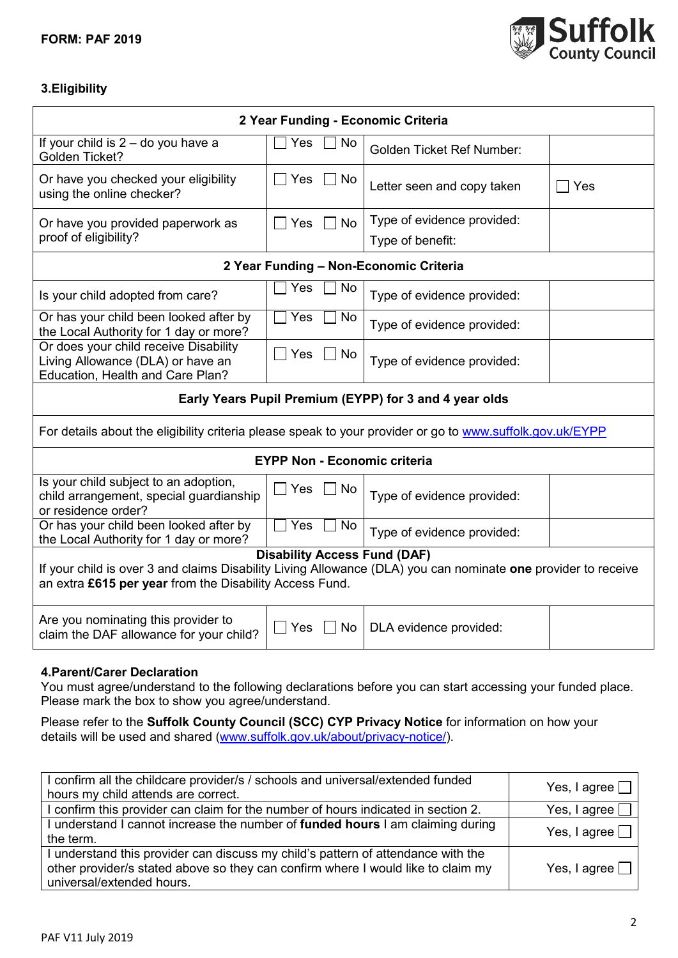

# **3.Eligibility**

| 2 Year Funding - Economic Criteria                                                                                                                                                                                                                                                               |                                     |                                                |                |  |  |
|--------------------------------------------------------------------------------------------------------------------------------------------------------------------------------------------------------------------------------------------------------------------------------------------------|-------------------------------------|------------------------------------------------|----------------|--|--|
| If your child is $2 -$ do you have a<br>Golden Ticket?                                                                                                                                                                                                                                           | Yes<br>No.                          | <b>Golden Ticket Ref Number:</b>               |                |  |  |
| Or have you checked your eligibility<br>using the online checker?                                                                                                                                                                                                                                | Yes<br>$\Box$ No                    | Letter seen and copy taken                     | Yes            |  |  |
| Or have you provided paperwork as<br>proof of eligibility?                                                                                                                                                                                                                                       | Yes<br><b>No</b>                    | Type of evidence provided:<br>Type of benefit: |                |  |  |
|                                                                                                                                                                                                                                                                                                  |                                     | 2 Year Funding - Non-Economic Criteria         |                |  |  |
| Is your child adopted from care?                                                                                                                                                                                                                                                                 | Yes<br>No                           | Type of evidence provided:                     |                |  |  |
| Or has your child been looked after by<br>the Local Authority for 1 day or more?                                                                                                                                                                                                                 | Yes<br>No                           | Type of evidence provided:                     |                |  |  |
| Or does your child receive Disability<br>Living Allowance (DLA) or have an<br>Education, Health and Care Plan?                                                                                                                                                                                   | Yes<br>No                           | Type of evidence provided:                     |                |  |  |
| Early Years Pupil Premium (EYPP) for 3 and 4 year olds                                                                                                                                                                                                                                           |                                     |                                                |                |  |  |
| For details about the eligibility criteria please speak to your provider or go to www.suffolk.gov.uk/EYPP                                                                                                                                                                                        |                                     |                                                |                |  |  |
| <b>EYPP Non - Economic criteria</b>                                                                                                                                                                                                                                                              |                                     |                                                |                |  |  |
| Is your child subject to an adoption,<br>child arrangement, special guardianship<br>or residence order?                                                                                                                                                                                          | $\Box$ Yes<br>No                    | Type of evidence provided:                     |                |  |  |
| Or has your child been looked after by<br>the Local Authority for 1 day or more?                                                                                                                                                                                                                 | Yes<br>No                           | Type of evidence provided:                     |                |  |  |
|                                                                                                                                                                                                                                                                                                  | <b>Disability Access Fund (DAF)</b> |                                                |                |  |  |
| If your child is over 3 and claims Disability Living Allowance (DLA) you can nominate one provider to receive<br>an extra £615 per year from the Disability Access Fund.                                                                                                                         |                                     |                                                |                |  |  |
| Are you nominating this provider to<br>claim the DAF allowance for your child?                                                                                                                                                                                                                   | Yes<br>  No                         | DLA evidence provided:                         |                |  |  |
| 4. Parent/Carer Declaration<br>You must agree/understand to the following declarations before you can start accessing your funded place.<br>Please mark the box to show you agree/understand.<br>Please refer to the Suffolk County Council (SCC) CYP Privacy Notice for information on how your |                                     |                                                |                |  |  |
| details will be used and shared (www.suffolk.gov.uk/about/privacy-notice/).                                                                                                                                                                                                                      |                                     |                                                |                |  |  |
| I confirm all the childcare provider/s / schools and universal/extended funded                                                                                                                                                                                                                   |                                     |                                                | Yes, I agree [ |  |  |
| hours my child attends are correct.<br>I confirm this provider can claim for the number of hours indicated in section 2.                                                                                                                                                                         |                                     |                                                | Yes, I agree   |  |  |
| I understand I cannot increase the number of funded hours I am claiming during<br>the term.                                                                                                                                                                                                      |                                     |                                                | Yes, I agree [ |  |  |